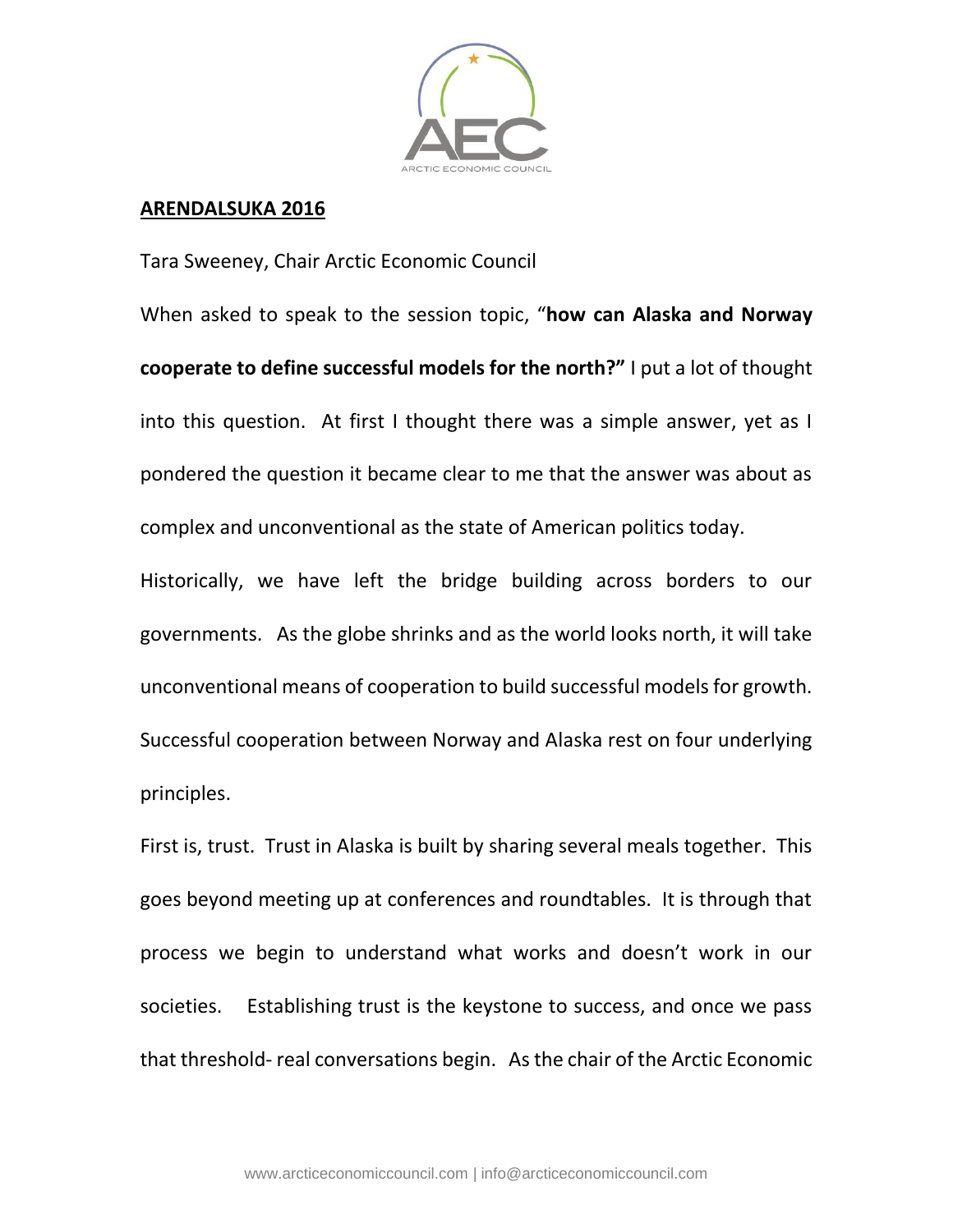

## **ARENDALSUKA 2016**

Tara Sweeney, Chair Arctic Economic Council

When asked to speak to the session topic, "**how can Alaska and Norway cooperate to define successful models for the north?"** I put a lot of thought into this question. At first I thought there was a simple answer, yet as I pondered the question it became clear to me that the answer was about as complex and unconventional as the state of American politics today.

Historically, we have left the bridge building across borders to our governments. As the globe shrinks and as the world looks north, it will take unconventional means of cooperation to build successful models for growth. Successful cooperation between Norway and Alaska rest on four underlying principles.

First is, trust. Trust in Alaska is built by sharing several meals together. This goes beyond meeting up at conferences and roundtables. It is through that process we begin to understand what works and doesn't work in our societies. Establishing trust is the keystone to success, and once we pass that threshold- real conversations begin. As the chair of the Arctic Economic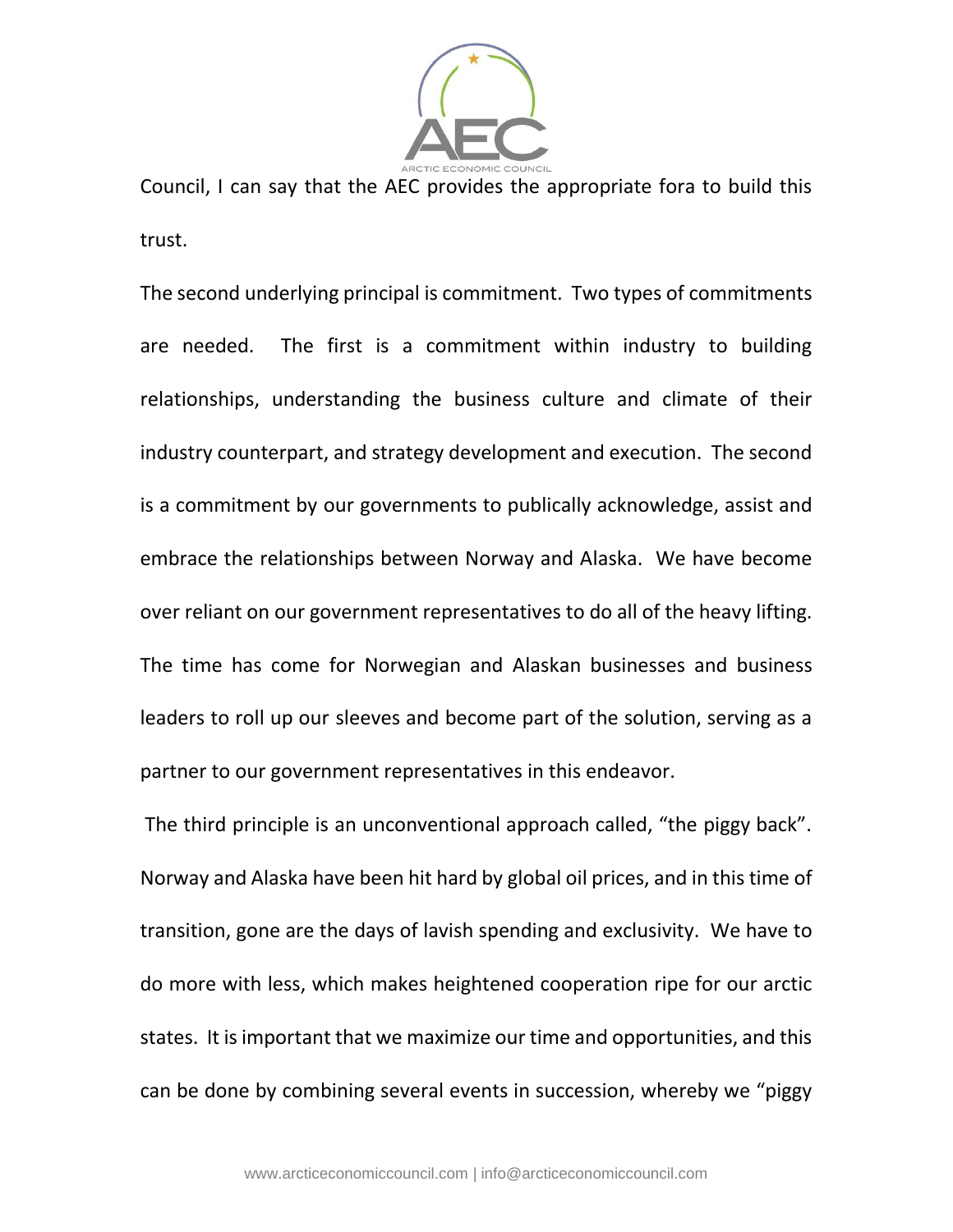

Council, I can say that the AEC provides the appropriate fora to build this trust.

The second underlying principal is commitment. Two types of commitments are needed. The first is a commitment within industry to building relationships, understanding the business culture and climate of their industry counterpart, and strategy development and execution. The second is a commitment by our governments to publically acknowledge, assist and embrace the relationships between Norway and Alaska. We have become over reliant on our government representatives to do all of the heavy lifting. The time has come for Norwegian and Alaskan businesses and business leaders to roll up our sleeves and become part of the solution, serving as a partner to our government representatives in this endeavor.

The third principle is an unconventional approach called, "the piggy back". Norway and Alaska have been hit hard by global oil prices, and in this time of transition, gone are the days of lavish spending and exclusivity. We have to do more with less, which makes heightened cooperation ripe for our arctic states. It is important that we maximize our time and opportunities, and this can be done by combining several events in succession, whereby we "piggy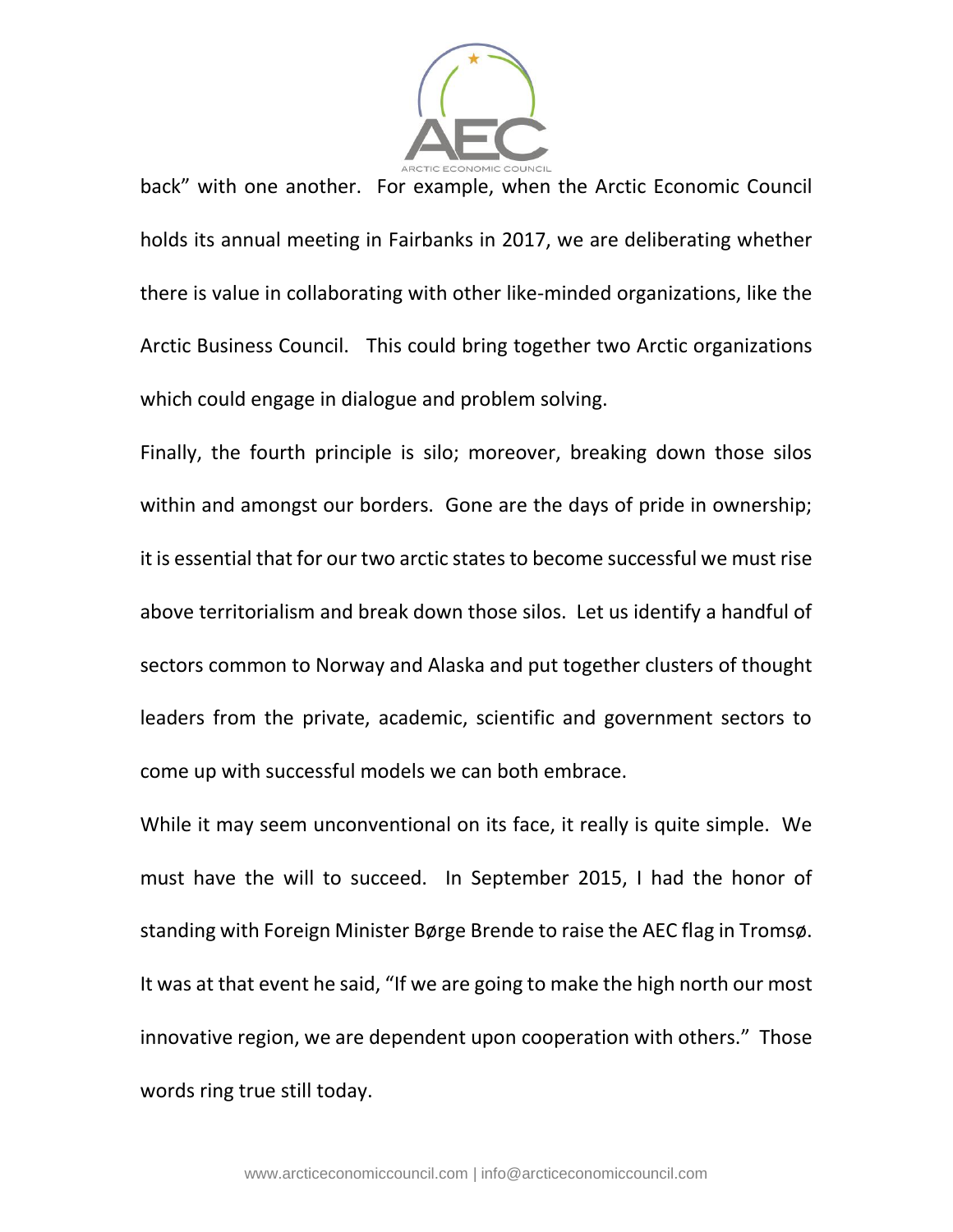

back" with one another. For example, when the Arctic Economic Council holds its annual meeting in Fairbanks in 2017, we are deliberating whether there is value in collaborating with other like-minded organizations, like the Arctic Business Council. This could bring together two Arctic organizations which could engage in dialogue and problem solving.

Finally, the fourth principle is silo; moreover, breaking down those silos within and amongst our borders. Gone are the days of pride in ownership; it is essential that for our two arctic states to become successful we must rise above territorialism and break down those silos. Let us identify a handful of sectors common to Norway and Alaska and put together clusters of thought leaders from the private, academic, scientific and government sectors to come up with successful models we can both embrace.

While it may seem unconventional on its face, it really is quite simple. We must have the will to succeed. In September 2015, I had the honor of standing with Foreign Minister Børge Brende to raise the AEC flag in Tromsø. It was at that event he said, "If we are going to make the high north our most innovative region, we are dependent upon cooperation with others." Those words ring true still today.